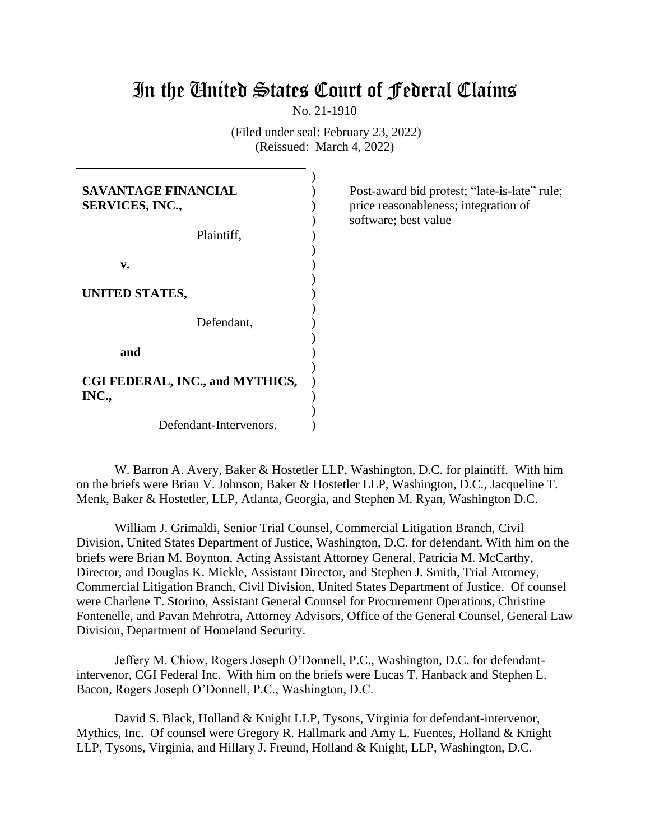# In the United States Court of Federal Claims

No. 21-1910

(Filed under seal: February 23, 2022) (Reissued: March 4, 2022)

| <b>SAVANTAGE FINANCIAL</b><br><b>SERVICES, INC.,</b> |  |
|------------------------------------------------------|--|
| Plaintiff,                                           |  |
| v.                                                   |  |
| UNITED STATES,                                       |  |
| Defendant,                                           |  |
| and                                                  |  |
| CGI FEDERAL, INC., and MYTHICS,<br>INC.,             |  |
| Defendant-Intervenors.                               |  |

Post-award bid protest; "late-is-late" rule; price reasonableness; integration of software; best value

W. Barron A. Avery, Baker & Hostetler LLP, Washington, D.C. for plaintiff. With him on the briefs were Brian V. Johnson, Baker & Hostetler LLP, Washington, D.C., Jacqueline T. Menk, Baker & Hostetler, LLP, Atlanta, Georgia, and Stephen M. Ryan, Washington D.C.

William J. Grimaldi, Senior Trial Counsel, Commercial Litigation Branch, Civil Division, United States Department of Justice, Washington, D.C. for defendant. With him on the briefs were Brian M. Boynton, Acting Assistant Attorney General, Patricia M. McCarthy, Director, and Douglas K. Mickle, Assistant Director, and Stephen J. Smith, Trial Attorney, Commercial Litigation Branch, Civil Division, United States Department of Justice. Of counsel were Charlene T. Storino, Assistant General Counsel for Procurement Operations, Christine Fontenelle, and Pavan Mehrotra, Attorney Advisors, Office of the General Counsel, General Law Division, Department of Homeland Security.

Jeffery M. Chiow, Rogers Joseph O'Donnell, P.C., Washington, D.C. for defendantintervenor, CGI Federal Inc. With him on the briefs were Lucas T. Hanback and Stephen L. Bacon, Rogers Joseph O'Donnell, P.C., Washington, D.C.

David S. Black, Holland & Knight LLP, Tysons, Virginia for defendant-intervenor, Mythics, Inc. Of counsel were Gregory R. Hallmark and Amy L. Fuentes, Holland & Knight LLP, Tysons, Virginia, and Hillary J. Freund, Holland & Knight, LLP, Washington, D.C.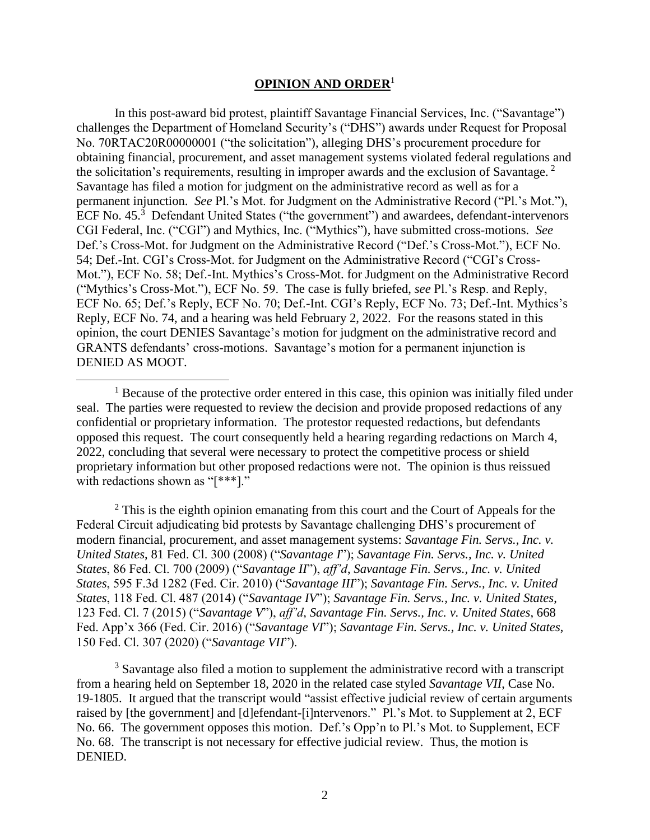# **OPINION AND ORDER**<sup>1</sup>

In this post-award bid protest, plaintiff Savantage Financial Services, Inc. ("Savantage") challenges the Department of Homeland Security's ("DHS") awards under Request for Proposal No. 70RTAC20R00000001 ("the solicitation"), alleging DHS's procurement procedure for obtaining financial, procurement, and asset management systems violated federal regulations and the solicitation's requirements, resulting in improper awards and the exclusion of Savantage.<sup>2</sup> Savantage has filed a motion for judgment on the administrative record as well as for a permanent injunction. *See* Pl.'s Mot. for Judgment on the Administrative Record ("Pl.'s Mot."), ECF No. 45.<sup>3</sup> Defendant United States ("the government") and awardees, defendant-intervenors CGI Federal, Inc. ("CGI") and Mythics, Inc. ("Mythics"), have submitted cross-motions. *See*  Def.'s Cross-Mot. for Judgment on the Administrative Record ("Def.'s Cross-Mot."), ECF No. 54; Def.-Int. CGI's Cross-Mot. for Judgment on the Administrative Record ("CGI's Cross-Mot."), ECF No. 58; Def.-Int. Mythics's Cross-Mot. for Judgment on the Administrative Record ("Mythics's Cross-Mot."), ECF No. 59. The case is fully briefed, *see* Pl.'s Resp. and Reply, ECF No. 65; Def.'s Reply, ECF No. 70; Def.-Int. CGI's Reply, ECF No. 73; Def.-Int. Mythics's Reply, ECF No. 74, and a hearing was held February 2, 2022. For the reasons stated in this opinion, the court DENIES Savantage's motion for judgment on the administrative record and GRANTS defendants' cross-motions. Savantage's motion for a permanent injunction is DENIED AS MOOT.

 $2^2$  This is the eighth opinion emanating from this court and the Court of Appeals for the Federal Circuit adjudicating bid protests by Savantage challenging DHS's procurement of modern financial, procurement, and asset management systems: *Savantage Fin. Servs., Inc. v. United States*, 81 Fed. Cl. 300 (2008) ("*Savantage I*"); *Savantage Fin. Servs., Inc. v. United States*, 86 Fed. Cl. 700 (2009) ("*Savantage II*"), *aff'd*, *Savantage Fin. Servs., Inc. v. United States*, 595 F.3d 1282 (Fed. Cir. 2010) ("*Savantage III*"); *Savantage Fin. Servs., Inc. v. United States*, 118 Fed. Cl. 487 (2014) ("*Savantage IV*"); *Savantage Fin. Servs., Inc. v. United States*, 123 Fed. Cl. 7 (2015) ("*Savantage V*"), *aff'd*, *Savantage Fin. Servs., Inc. v. United States*, 668 Fed. App'x 366 (Fed. Cir. 2016) ("*Savantage VI*"); *Savantage Fin. Servs., Inc. v. United States*, 150 Fed. Cl. 307 (2020) ("*Savantage VII*").

<sup>3</sup> Savantage also filed a motion to supplement the administrative record with a transcript from a hearing held on September 18, 2020 in the related case styled *Savantage VII*, Case No. 19-1805. It argued that the transcript would "assist effective judicial review of certain arguments raised by [the government] and [d]efendant-[i]ntervenors." Pl.'s Mot. to Supplement at 2, ECF No. 66. The government opposes this motion. Def.'s Opp'n to Pl.'s Mot. to Supplement, ECF No. 68. The transcript is not necessary for effective judicial review. Thus, the motion is DENIED.

 $<sup>1</sup>$  Because of the protective order entered in this case, this opinion was initially filed under</sup> seal. The parties were requested to review the decision and provide proposed redactions of any confidential or proprietary information. The protestor requested redactions, but defendants opposed this request. The court consequently held a hearing regarding redactions on March 4, 2022, concluding that several were necessary to protect the competitive process or shield proprietary information but other proposed redactions were not. The opinion is thus reissued with redactions shown as "[\*\*\*]."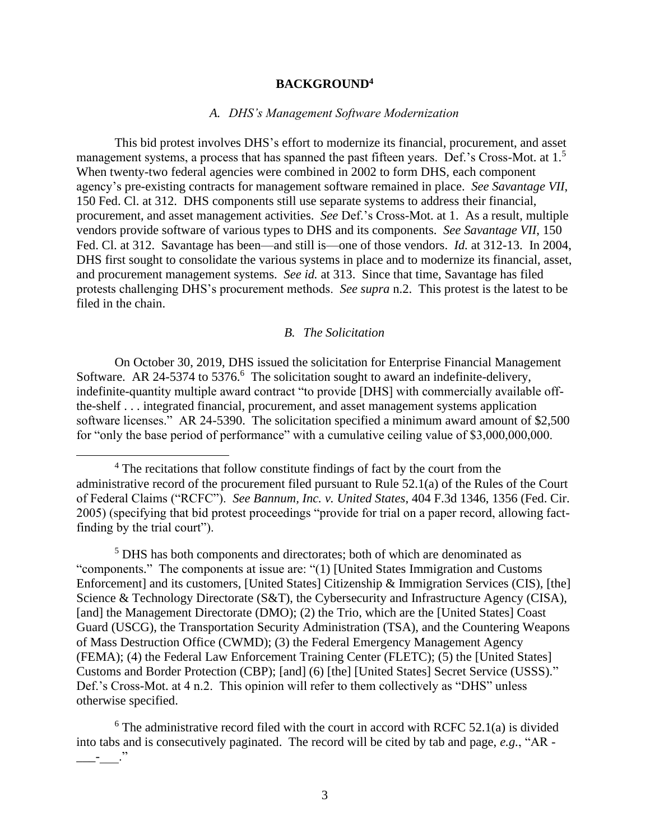# **BACKGROUND<sup>4</sup>**

## *A. DHS's Management Software Modernization*

This bid protest involves DHS's effort to modernize its financial, procurement, and asset management systems, a process that has spanned the past fifteen years. Def.'s Cross-Mot. at 1.<sup>5</sup> When twenty-two federal agencies were combined in 2002 to form DHS, each component agency's pre-existing contracts for management software remained in place. *See Savantage VII*, 150 Fed. Cl. at 312. DHS components still use separate systems to address their financial, procurement, and asset management activities. *See* Def.'s Cross-Mot. at 1. As a result, multiple vendors provide software of various types to DHS and its components. *See Savantage VII*, 150 Fed. Cl. at 312. Savantage has been—and still is—one of those vendors. *Id.* at 312-13. In 2004, DHS first sought to consolidate the various systems in place and to modernize its financial, asset, and procurement management systems. *See id.* at 313. Since that time, Savantage has filed protests challenging DHS's procurement methods. *See supra* n.2. This protest is the latest to be filed in the chain.

# *B. The Solicitation*

On October 30, 2019, DHS issued the solicitation for Enterprise Financial Management Software. AR 24-5374 to 5376.<sup>6</sup> The solicitation sought to award an indefinite-delivery, indefinite-quantity multiple award contract "to provide [DHS] with commercially available offthe-shelf . . . integrated financial, procurement, and asset management systems application software licenses." AR 24-5390. The solicitation specified a minimum award amount of \$2,500 for "only the base period of performance" with a cumulative ceiling value of \$3,000,000,000.

<sup>5</sup> DHS has both components and directorates; both of which are denominated as "components." The components at issue are: "(1) [United States Immigration and Customs Enforcement] and its customers, [United States] Citizenship & Immigration Services (CIS), [the] Science & Technology Directorate (S&T), the Cybersecurity and Infrastructure Agency (CISA), [and] the Management Directorate (DMO); (2) the Trio, which are the [United States] Coast Guard (USCG), the Transportation Security Administration (TSA), and the Countering Weapons of Mass Destruction Office (CWMD); (3) the Federal Emergency Management Agency (FEMA); (4) the Federal Law Enforcement Training Center (FLETC); (5) the [United States] Customs and Border Protection (CBP); [and] (6) [the] [United States] Secret Service (USSS)." Def.'s Cross-Mot. at 4 n.2. This opinion will refer to them collectively as "DHS" unless otherwise specified.

 $6$  The administrative record filed with the court in accord with RCFC 52.1(a) is divided into tabs and is consecutively paginated. The record will be cited by tab and page, *e.g.*, "AR -  $\equiv$   $\equiv$ 

<sup>&</sup>lt;sup>4</sup> The recitations that follow constitute findings of fact by the court from the administrative record of the procurement filed pursuant to Rule 52.1(a) of the Rules of the Court of Federal Claims ("RCFC"). *See Bannum, Inc. v. United States*, 404 F.3d 1346, 1356 (Fed. Cir. 2005) (specifying that bid protest proceedings "provide for trial on a paper record, allowing factfinding by the trial court").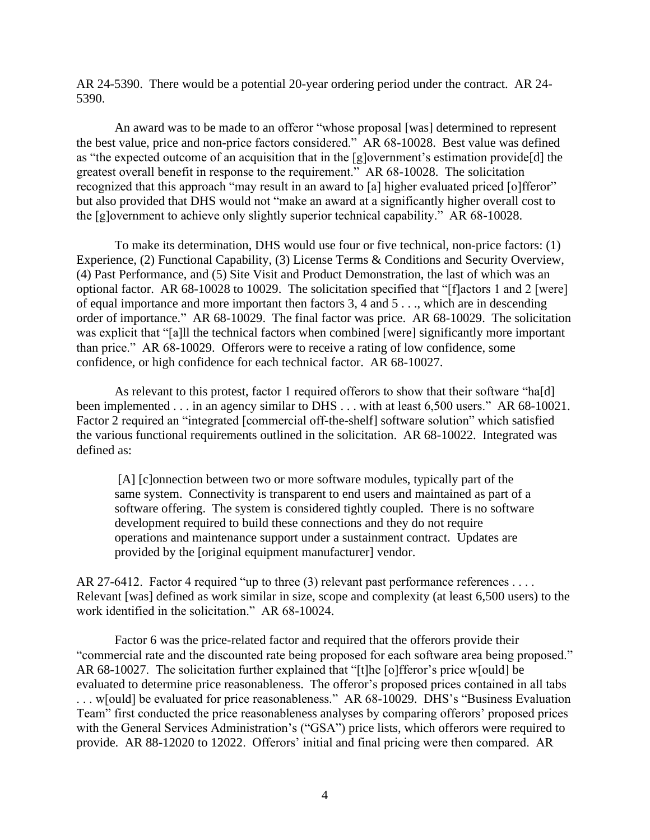AR 24-5390. There would be a potential 20-year ordering period under the contract. AR 24- 5390.

An award was to be made to an offeror "whose proposal [was] determined to represent the best value, price and non-price factors considered." AR 68-10028. Best value was defined as "the expected outcome of an acquisition that in the [g]overnment's estimation provide[d] the greatest overall benefit in response to the requirement." AR 68-10028. The solicitation recognized that this approach "may result in an award to [a] higher evaluated priced [o]fferor" but also provided that DHS would not "make an award at a significantly higher overall cost to the [g]overnment to achieve only slightly superior technical capability." AR 68-10028.

To make its determination, DHS would use four or five technical, non-price factors: (1) Experience, (2) Functional Capability, (3) License Terms & Conditions and Security Overview, (4) Past Performance, and (5) Site Visit and Product Demonstration, the last of which was an optional factor. AR 68-10028 to 10029. The solicitation specified that "[f]actors 1 and 2 [were] of equal importance and more important then factors 3, 4 and 5 . . ., which are in descending order of importance." AR 68-10029. The final factor was price. AR 68-10029. The solicitation was explicit that "[a]ll the technical factors when combined [were] significantly more important than price." AR 68-10029. Offerors were to receive a rating of low confidence, some confidence, or high confidence for each technical factor. AR 68-10027.

As relevant to this protest, factor 1 required offerors to show that their software "ha[d] been implemented . . . in an agency similar to DHS . . . with at least 6,500 users." AR 68-10021. Factor 2 required an "integrated [commercial off-the-shelf] software solution" which satisfied the various functional requirements outlined in the solicitation. AR 68-10022. Integrated was defined as:

[A] [c]onnection between two or more software modules, typically part of the same system. Connectivity is transparent to end users and maintained as part of a software offering. The system is considered tightly coupled. There is no software development required to build these connections and they do not require operations and maintenance support under a sustainment contract. Updates are provided by the [original equipment manufacturer] vendor.

AR 27-6412. Factor 4 required "up to three (3) relevant past performance references . . . . Relevant [was] defined as work similar in size, scope and complexity (at least 6,500 users) to the work identified in the solicitation." AR 68-10024.

Factor 6 was the price-related factor and required that the offerors provide their "commercial rate and the discounted rate being proposed for each software area being proposed." AR 68-10027. The solicitation further explained that "[t]he [o]fferor's price w[ould] be evaluated to determine price reasonableness. The offeror's proposed prices contained in all tabs . . . w[ould] be evaluated for price reasonableness." AR 68-10029. DHS's "Business Evaluation Team" first conducted the price reasonableness analyses by comparing offerors' proposed prices with the General Services Administration's ("GSA") price lists, which offerors were required to provide. AR 88-12020 to 12022. Offerors' initial and final pricing were then compared. AR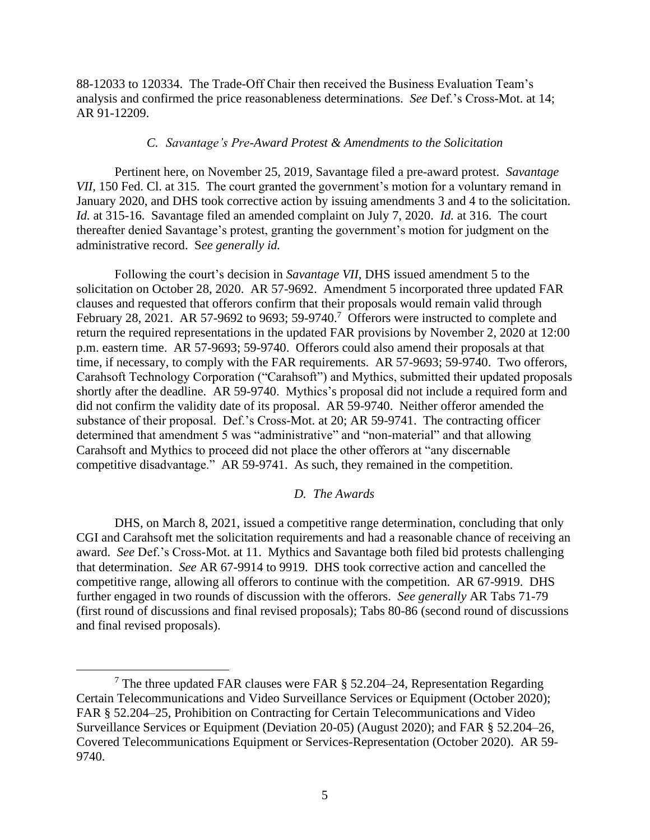88-12033 to 120334. The Trade-Off Chair then received the Business Evaluation Team's analysis and confirmed the price reasonableness determinations. *See* Def.'s Cross-Mot. at 14; AR 91-12209.

# *C. Savantage's Pre-Award Protest & Amendments to the Solicitation*

Pertinent here, on November 25, 2019, Savantage filed a pre-award protest. *Savantage VII*, 150 Fed. Cl. at 315. The court granted the government's motion for a voluntary remand in January 2020, and DHS took corrective action by issuing amendments 3 and 4 to the solicitation. *Id.* at 315-16. Savantage filed an amended complaint on July 7, 2020. *Id.* at 316. The court thereafter denied Savantage's protest, granting the government's motion for judgment on the administrative record. S*ee generally id.*

Following the court's decision in *Savantage VII*, DHS issued amendment 5 to the solicitation on October 28, 2020. AR 57-9692. Amendment 5 incorporated three updated FAR clauses and requested that offerors confirm that their proposals would remain valid through February 28, 2021. AR 57-9692 to 9693; 59-9740.<sup>7</sup> Offerors were instructed to complete and return the required representations in the updated FAR provisions by November 2, 2020 at 12:00 p.m. eastern time. AR 57-9693; 59-9740. Offerors could also amend their proposals at that time, if necessary, to comply with the FAR requirements. AR 57-9693; 59-9740. Two offerors, Carahsoft Technology Corporation ("Carahsoft") and Mythics, submitted their updated proposals shortly after the deadline. AR 59-9740. Mythics's proposal did not include a required form and did not confirm the validity date of its proposal. AR 59-9740. Neither offeror amended the substance of their proposal. Def.'s Cross-Mot. at 20; AR 59-9741. The contracting officer determined that amendment 5 was "administrative" and "non-material" and that allowing Carahsoft and Mythics to proceed did not place the other offerors at "any discernable competitive disadvantage." AR 59-9741. As such, they remained in the competition.

# *D. The Awards*

DHS, on March 8, 2021, issued a competitive range determination, concluding that only CGI and Carahsoft met the solicitation requirements and had a reasonable chance of receiving an award. *See* Def.'s Cross-Mot. at 11. Mythics and Savantage both filed bid protests challenging that determination. *See* AR 67-9914 to 9919. DHS took corrective action and cancelled the competitive range, allowing all offerors to continue with the competition. AR 67-9919. DHS further engaged in two rounds of discussion with the offerors. *See generally* AR Tabs 71-79 (first round of discussions and final revised proposals); Tabs 80-86 (second round of discussions and final revised proposals).

<sup>&</sup>lt;sup>7</sup> The three updated FAR clauses were FAR  $\S$  52.204–24, Representation Regarding Certain Telecommunications and Video Surveillance Services or Equipment (October 2020); FAR § 52.204–25, Prohibition on Contracting for Certain Telecommunications and Video Surveillance Services or Equipment (Deviation 20-05) (August 2020); and FAR § 52.204–26, Covered Telecommunications Equipment or Services-Representation (October 2020). AR 59- 9740.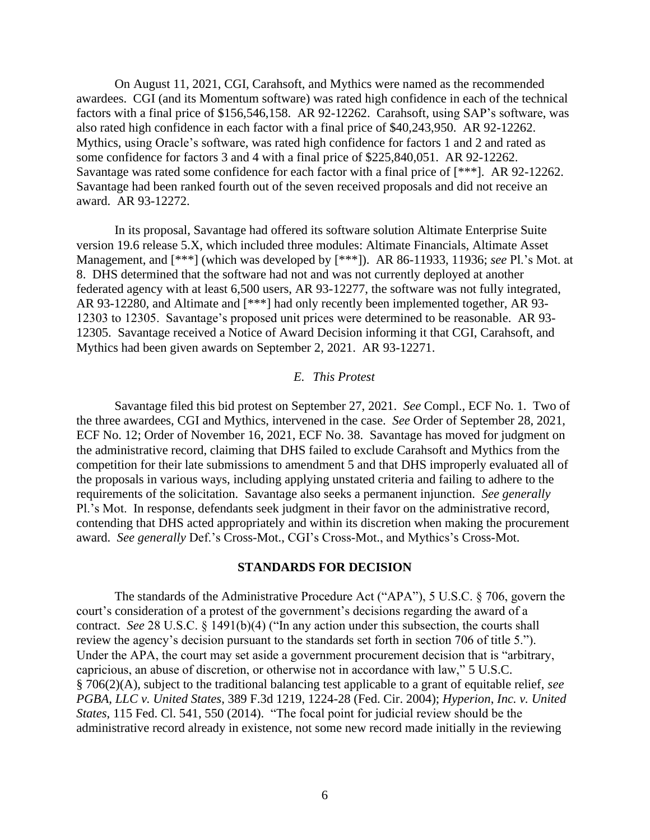On August 11, 2021, CGI, Carahsoft, and Mythics were named as the recommended awardees. CGI (and its Momentum software) was rated high confidence in each of the technical factors with a final price of \$156,546,158. AR 92-12262. Carahsoft, using SAP's software, was also rated high confidence in each factor with a final price of \$40,243,950. AR 92-12262. Mythics, using Oracle's software, was rated high confidence for factors 1 and 2 and rated as some confidence for factors 3 and 4 with a final price of \$225,840,051. AR 92-12262. Savantage was rated some confidence for each factor with a final price of [\*\*\*]. AR 92-12262. Savantage had been ranked fourth out of the seven received proposals and did not receive an award. AR 93-12272.

In its proposal, Savantage had offered its software solution Altimate Enterprise Suite version 19.6 release 5.X, which included three modules: Altimate Financials, Altimate Asset Management, and [\*\*\*] (which was developed by [\*\*\*]). AR 86-11933, 11936; *see* Pl.'s Mot. at 8. DHS determined that the software had not and was not currently deployed at another federated agency with at least 6,500 users, AR 93-12277, the software was not fully integrated, AR 93-12280, and Altimate and [\*\*\*] had only recently been implemented together, AR 93- 12303 to 12305. Savantage's proposed unit prices were determined to be reasonable. AR 93- 12305. Savantage received a Notice of Award Decision informing it that CGI, Carahsoft, and Mythics had been given awards on September 2, 2021. AR 93-12271.

## *E. This Protest*

Savantage filed this bid protest on September 27, 2021. *See* Compl., ECF No. 1. Two of the three awardees, CGI and Mythics, intervened in the case. *See* Order of September 28, 2021, ECF No. 12; Order of November 16, 2021, ECF No. 38. Savantage has moved for judgment on the administrative record, claiming that DHS failed to exclude Carahsoft and Mythics from the competition for their late submissions to amendment 5 and that DHS improperly evaluated all of the proposals in various ways, including applying unstated criteria and failing to adhere to the requirements of the solicitation. Savantage also seeks a permanent injunction. *See generally*  Pl.'s Mot. In response, defendants seek judgment in their favor on the administrative record, contending that DHS acted appropriately and within its discretion when making the procurement award. *See generally* Def.'s Cross-Mot., CGI's Cross-Mot., and Mythics's Cross-Mot.

#### **STANDARDS FOR DECISION**

The standards of the Administrative Procedure Act ("APA"), 5 U.S.C. § 706, govern the court's consideration of a protest of the government's decisions regarding the award of a contract. *See* 28 U.S.C. § 1491(b)(4) ("In any action under this subsection, the courts shall review the agency's decision pursuant to the standards set forth in section 706 of title 5."). Under the APA, the court may set aside a government procurement decision that is "arbitrary, capricious, an abuse of discretion, or otherwise not in accordance with law," 5 U.S.C. § 706(2)(A), subject to the traditional balancing test applicable to a grant of equitable relief, *see PGBA, LLC v. United States*, 389 F.3d 1219, 1224-28 (Fed. Cir. 2004); *Hyperion*, *Inc. v. United States*, 115 Fed. Cl. 541, 550 (2014). "The focal point for judicial review should be the administrative record already in existence, not some new record made initially in the reviewing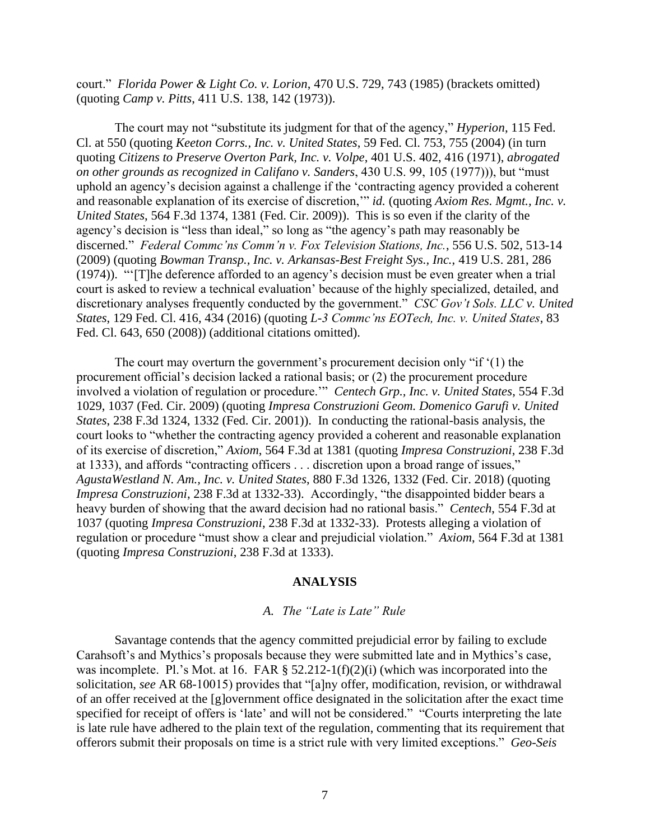court." *Florida Power & Light Co. v. Lorion*, 470 U.S. 729, 743 (1985) (brackets omitted) (quoting *Camp v. Pitts*, 411 U.S. 138, 142 (1973)).

The court may not "substitute its judgment for that of the agency," *Hyperion*, 115 Fed. Cl. at 550 (quoting *Keeton Corrs., Inc. v. United States*, 59 Fed. Cl. 753, 755 (2004) (in turn quoting *Citizens to Preserve Overton Park, Inc. v. Volpe*, 401 U.S. 402, 416 (1971), *abrogated on other grounds as recognized in Califano v. Sanders*, 430 U.S. 99, 105 (1977))), but "must uphold an agency's decision against a challenge if the 'contracting agency provided a coherent and reasonable explanation of its exercise of discretion,'" *id.* (quoting *Axiom Res. Mgmt., Inc. v. United States*, 564 F.3d 1374, 1381 (Fed. Cir. 2009)). This is so even if the clarity of the agency's decision is "less than ideal," so long as "the agency's path may reasonably be discerned." *Federal Commc'ns Comm'n v. Fox Television Stations, Inc.*, 556 U.S. 502, 513-14 (2009) (quoting *Bowman Transp., Inc. v. Arkansas-Best Freight Sys., Inc.*, 419 U.S. 281, 286 (1974)). "'[T]he deference afforded to an agency's decision must be even greater when a trial court is asked to review a technical evaluation' because of the highly specialized, detailed, and discretionary analyses frequently conducted by the government." *CSC Gov't Sols. LLC v. United States*, 129 Fed. Cl. 416, 434 (2016) (quoting *L-3 Commc'ns EOTech, Inc. v. United States*, 83 Fed. Cl. 643, 650 (2008)) (additional citations omitted).

The court may overturn the government's procurement decision only "if '(1) the procurement official's decision lacked a rational basis; or (2) the procurement procedure involved a violation of regulation or procedure.'" *Centech Grp., Inc. v. United States*, 554 F.3d 1029, 1037 (Fed. Cir. 2009) (quoting *Impresa Construzioni Geom. Domenico Garufi v. United States*, 238 F.3d 1324, 1332 (Fed. Cir. 2001)). In conducting the rational-basis analysis, the court looks to "whether the contracting agency provided a coherent and reasonable explanation of its exercise of discretion," *Axiom*, 564 F.3d at 1381 (quoting *Impresa Construzioni*, 238 F.3d at 1333), and affords "contracting officers . . . discretion upon a broad range of issues," *AgustaWestland N. Am., Inc. v. United States*, 880 F.3d 1326, 1332 (Fed. Cir. 2018) (quoting *Impresa Construzioni*, 238 F.3d at 1332-33). Accordingly, "the disappointed bidder bears a heavy burden of showing that the award decision had no rational basis." *Centech*, 554 F.3d at 1037 (quoting *Impresa Construzioni*, 238 F.3d at 1332-33). Protests alleging a violation of regulation or procedure "must show a clear and prejudicial violation." *Axiom*, 564 F.3d at 1381 (quoting *Impresa Construzioni*, 238 F.3d at 1333).

#### **ANALYSIS**

# *A. The "Late is Late" Rule*

Savantage contends that the agency committed prejudicial error by failing to exclude Carahsoft's and Mythics's proposals because they were submitted late and in Mythics's case, was incomplete. Pl.'s Mot. at 16. FAR § 52.212-1(f)(2)(i) (which was incorporated into the solicitation, *see* AR 68-10015) provides that "[a]ny offer, modification, revision, or withdrawal of an offer received at the [g]overnment office designated in the solicitation after the exact time specified for receipt of offers is 'late' and will not be considered." "Courts interpreting the late is late rule have adhered to the plain text of the regulation, commenting that its requirement that offerors submit their proposals on time is a strict rule with very limited exceptions." *Geo-Seis*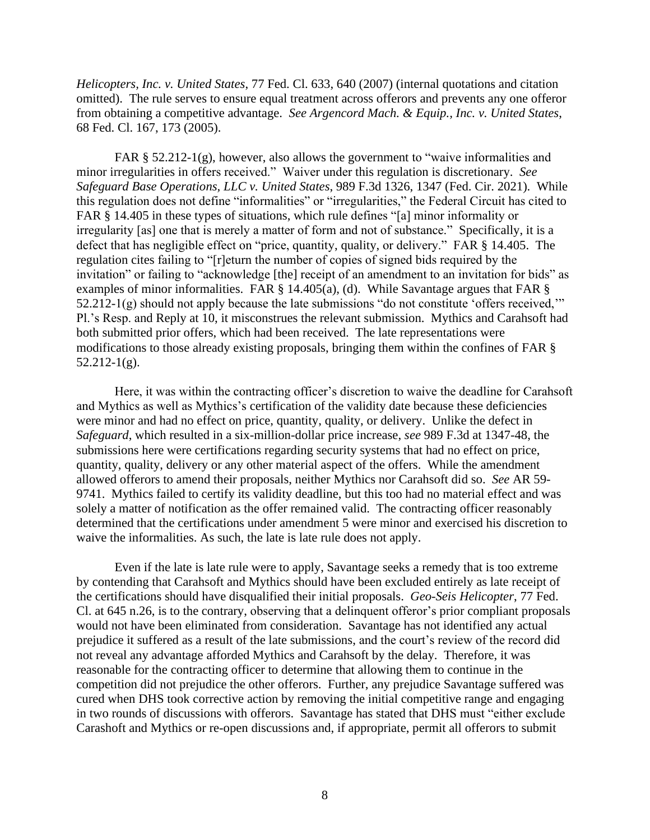*Helicopters, Inc. v. United States*, 77 Fed. Cl. 633, 640 (2007) (internal quotations and citation omitted). The rule serves to ensure equal treatment across offerors and prevents any one offeror from obtaining a competitive advantage. *See Argencord Mach. & Equip., Inc. v. United States*, 68 Fed. Cl. 167, 173 (2005).

FAR § 52.212-1(g), however, also allows the government to "waive informalities and minor irregularities in offers received." Waiver under this regulation is discretionary. *See Safeguard Base Operations, LLC v. United States*, 989 F.3d 1326, 1347 (Fed. Cir. 2021). While this regulation does not define "informalities" or "irregularities," the Federal Circuit has cited to FAR § 14.405 in these types of situations, which rule defines "[a] minor informality or irregularity [as] one that is merely a matter of form and not of substance." Specifically, it is a defect that has negligible effect on "price, quantity, quality, or delivery." FAR § 14.405. The regulation cites failing to "[r]eturn the number of copies of signed bids required by the invitation" or failing to "acknowledge [the] receipt of an amendment to an invitation for bids" as examples of minor informalities. FAR  $\S$  14.405(a), (d). While Savantage argues that FAR  $\S$ 52.212-1(g) should not apply because the late submissions "do not constitute 'offers received,'" Pl.'s Resp. and Reply at 10, it misconstrues the relevant submission. Mythics and Carahsoft had both submitted prior offers, which had been received. The late representations were modifications to those already existing proposals, bringing them within the confines of FAR §  $52.212-1(g)$ .

Here, it was within the contracting officer's discretion to waive the deadline for Carahsoft and Mythics as well as Mythics's certification of the validity date because these deficiencies were minor and had no effect on price, quantity, quality, or delivery. Unlike the defect in *Safeguard*, which resulted in a six-million-dollar price increase, *see* 989 F.3d at 1347-48, the submissions here were certifications regarding security systems that had no effect on price, quantity, quality, delivery or any other material aspect of the offers. While the amendment allowed offerors to amend their proposals, neither Mythics nor Carahsoft did so. *See* AR 59- 9741. Mythics failed to certify its validity deadline, but this too had no material effect and was solely a matter of notification as the offer remained valid. The contracting officer reasonably determined that the certifications under amendment 5 were minor and exercised his discretion to waive the informalities. As such, the late is late rule does not apply.

Even if the late is late rule were to apply, Savantage seeks a remedy that is too extreme by contending that Carahsoft and Mythics should have been excluded entirely as late receipt of the certifications should have disqualified their initial proposals. *Geo-Seis Helicopter*, 77 Fed. Cl. at 645 n.26, is to the contrary, observing that a delinquent offeror's prior compliant proposals would not have been eliminated from consideration. Savantage has not identified any actual prejudice it suffered as a result of the late submissions, and the court's review of the record did not reveal any advantage afforded Mythics and Carahsoft by the delay. Therefore, it was reasonable for the contracting officer to determine that allowing them to continue in the competition did not prejudice the other offerors. Further, any prejudice Savantage suffered was cured when DHS took corrective action by removing the initial competitive range and engaging in two rounds of discussions with offerors. Savantage has stated that DHS must "either exclude Carashoft and Mythics or re-open discussions and, if appropriate, permit all offerors to submit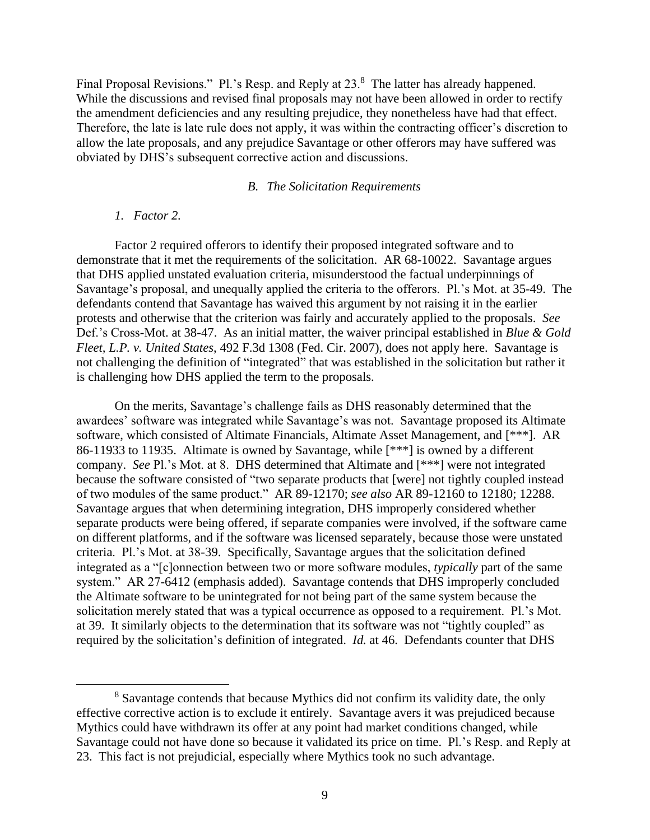Final Proposal Revisions." Pl.'s Resp. and Reply at 23.<sup>8</sup> The latter has already happened. While the discussions and revised final proposals may not have been allowed in order to rectify the amendment deficiencies and any resulting prejudice, they nonetheless have had that effect. Therefore, the late is late rule does not apply, it was within the contracting officer's discretion to allow the late proposals, and any prejudice Savantage or other offerors may have suffered was obviated by DHS's subsequent corrective action and discussions.

# *B. The Solicitation Requirements*

# *1. Factor 2.*

Factor 2 required offerors to identify their proposed integrated software and to demonstrate that it met the requirements of the solicitation. AR 68-10022. Savantage argues that DHS applied unstated evaluation criteria, misunderstood the factual underpinnings of Savantage's proposal, and unequally applied the criteria to the offerors. Pl.'s Mot. at 35-49. The defendants contend that Savantage has waived this argument by not raising it in the earlier protests and otherwise that the criterion was fairly and accurately applied to the proposals. *See*  Def.'s Cross-Mot. at 38-47. As an initial matter, the waiver principal established in *Blue & Gold Fleet, L.P. v. United States*, 492 F.3d 1308 (Fed. Cir. 2007), does not apply here. Savantage is not challenging the definition of "integrated" that was established in the solicitation but rather it is challenging how DHS applied the term to the proposals.

On the merits, Savantage's challenge fails as DHS reasonably determined that the awardees' software was integrated while Savantage's was not. Savantage proposed its Altimate software, which consisted of Altimate Financials, Altimate Asset Management, and [\*\*\*]. AR 86-11933 to 11935. Altimate is owned by Savantage, while [\*\*\*] is owned by a different company. *See* Pl.'s Mot. at 8. DHS determined that Altimate and [\*\*\*] were not integrated because the software consisted of "two separate products that [were] not tightly coupled instead of two modules of the same product." AR 89-12170; *see also* AR 89-12160 to 12180; 12288. Savantage argues that when determining integration, DHS improperly considered whether separate products were being offered, if separate companies were involved, if the software came on different platforms, and if the software was licensed separately, because those were unstated criteria. Pl.'s Mot. at 38-39. Specifically, Savantage argues that the solicitation defined integrated as a "[c]onnection between two or more software modules, *typically* part of the same system." AR 27-6412 (emphasis added). Savantage contends that DHS improperly concluded the Altimate software to be unintegrated for not being part of the same system because the solicitation merely stated that was a typical occurrence as opposed to a requirement. Pl.'s Mot. at 39. It similarly objects to the determination that its software was not "tightly coupled" as required by the solicitation's definition of integrated. *Id.* at 46. Defendants counter that DHS

<sup>8</sup> Savantage contends that because Mythics did not confirm its validity date, the only effective corrective action is to exclude it entirely. Savantage avers it was prejudiced because Mythics could have withdrawn its offer at any point had market conditions changed, while Savantage could not have done so because it validated its price on time. Pl*.*'s Resp. and Reply at 23. This fact is not prejudicial, especially where Mythics took no such advantage.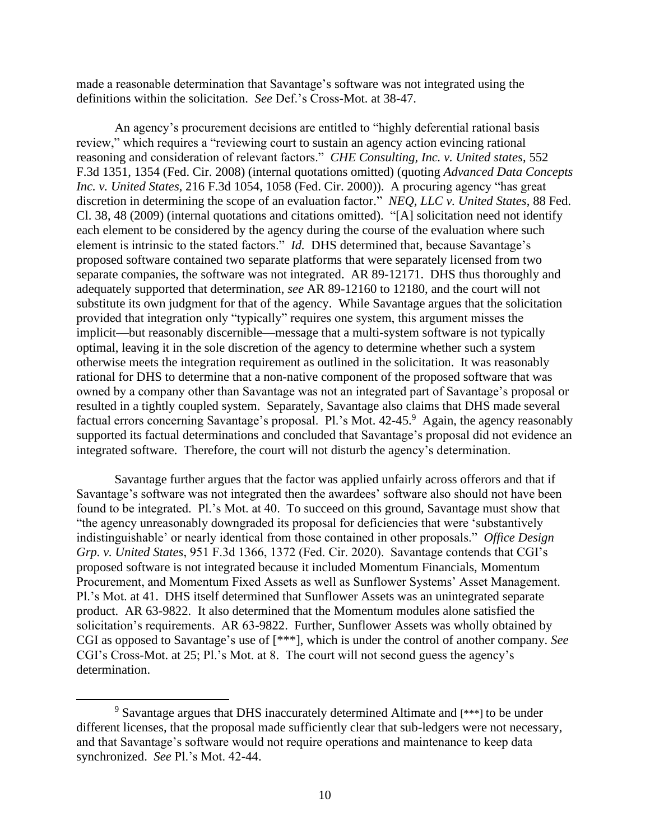made a reasonable determination that Savantage's software was not integrated using the definitions within the solicitation. *See* Def.'s Cross-Mot. at 38-47.

An agency's procurement decisions are entitled to "highly deferential rational basis review," which requires a "reviewing court to sustain an agency action evincing rational reasoning and consideration of relevant factors." *CHE Consulting, Inc. v. United states*, 552 F.3d 1351, 1354 (Fed. Cir. 2008) (internal quotations omitted) (quoting *Advanced Data Concepts Inc. v. United States*, 216 F.3d 1054, 1058 (Fed. Cir. 2000)). A procuring agency "has great discretion in determining the scope of an evaluation factor." *NEQ, LLC v. United States*, 88 Fed. Cl. 38, 48 (2009) (internal quotations and citations omitted). "[A] solicitation need not identify each element to be considered by the agency during the course of the evaluation where such element is intrinsic to the stated factors." *Id.* DHS determined that, because Savantage's proposed software contained two separate platforms that were separately licensed from two separate companies, the software was not integrated. AR 89-12171. DHS thus thoroughly and adequately supported that determination, *see* AR 89-12160 to 12180, and the court will not substitute its own judgment for that of the agency. While Savantage argues that the solicitation provided that integration only "typically" requires one system, this argument misses the implicit—but reasonably discernible—message that a multi-system software is not typically optimal, leaving it in the sole discretion of the agency to determine whether such a system otherwise meets the integration requirement as outlined in the solicitation. It was reasonably rational for DHS to determine that a non-native component of the proposed software that was owned by a company other than Savantage was not an integrated part of Savantage's proposal or resulted in a tightly coupled system. Separately, Savantage also claims that DHS made several factual errors concerning Savantage's proposal. Pl.'s Mot. 42-45.<sup>9</sup> Again, the agency reasonably supported its factual determinations and concluded that Savantage's proposal did not evidence an integrated software. Therefore, the court will not disturb the agency's determination.

Savantage further argues that the factor was applied unfairly across offerors and that if Savantage's software was not integrated then the awardees' software also should not have been found to be integrated. Pl.'s Mot. at 40. To succeed on this ground, Savantage must show that "the agency unreasonably downgraded its proposal for deficiencies that were 'substantively indistinguishable' or nearly identical from those contained in other proposals." *Office Design Grp. v. United States*, 951 F.3d 1366, 1372 (Fed. Cir. 2020). Savantage contends that CGI's proposed software is not integrated because it included Momentum Financials, Momentum Procurement, and Momentum Fixed Assets as well as Sunflower Systems' Asset Management. Pl.'s Mot. at 41. DHS itself determined that Sunflower Assets was an unintegrated separate product. AR 63-9822. It also determined that the Momentum modules alone satisfied the solicitation's requirements. AR 63-9822. Further, Sunflower Assets was wholly obtained by CGI as opposed to Savantage's use of [\*\*\*], which is under the control of another company. *See*  CGI's Cross-Mot. at 25; Pl.'s Mot. at 8. The court will not second guess the agency's determination.

<sup>&</sup>lt;sup>9</sup> Savantage argues that DHS inaccurately determined Altimate and [\*\*\*] to be under different licenses, that the proposal made sufficiently clear that sub-ledgers were not necessary, and that Savantage's software would not require operations and maintenance to keep data synchronized. *See* Pl.'s Mot. 42-44.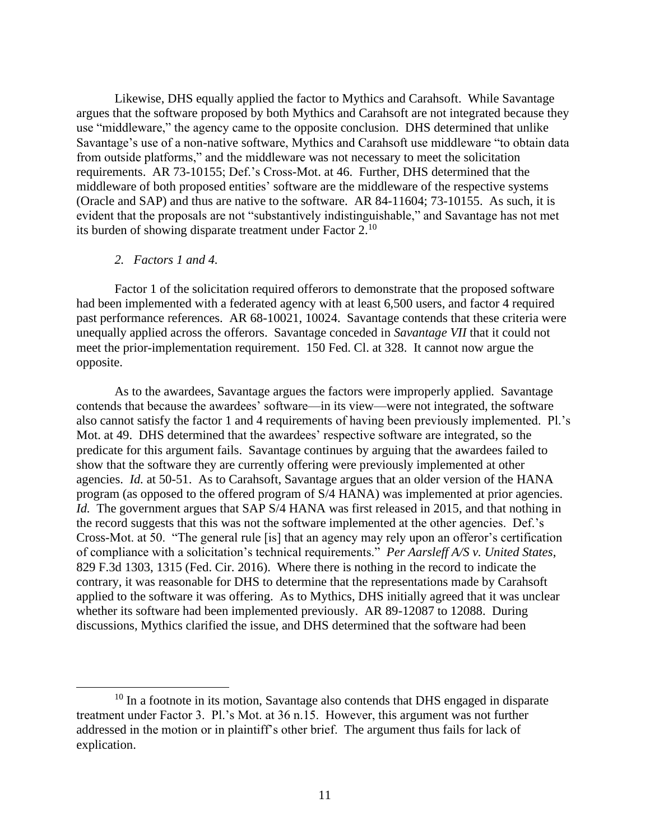Likewise, DHS equally applied the factor to Mythics and Carahsoft. While Savantage argues that the software proposed by both Mythics and Carahsoft are not integrated because they use "middleware," the agency came to the opposite conclusion. DHS determined that unlike Savantage's use of a non-native software, Mythics and Carahsoft use middleware "to obtain data from outside platforms," and the middleware was not necessary to meet the solicitation requirements. AR 73-10155; Def.'s Cross-Mot. at 46. Further, DHS determined that the middleware of both proposed entities' software are the middleware of the respective systems (Oracle and SAP) and thus are native to the software. AR 84-11604; 73-10155. As such, it is evident that the proposals are not "substantively indistinguishable," and Savantage has not met its burden of showing disparate treatment under Factor 2.<sup>10</sup>

# *2. Factors 1 and 4.*

Factor 1 of the solicitation required offerors to demonstrate that the proposed software had been implemented with a federated agency with at least 6,500 users, and factor 4 required past performance references. AR 68-10021, 10024. Savantage contends that these criteria were unequally applied across the offerors. Savantage conceded in *Savantage VII* that it could not meet the prior-implementation requirement. 150 Fed. Cl. at 328. It cannot now argue the opposite.

As to the awardees, Savantage argues the factors were improperly applied. Savantage contends that because the awardees' software—in its view—were not integrated, the software also cannot satisfy the factor 1 and 4 requirements of having been previously implemented. Pl.'s Mot. at 49. DHS determined that the awardees' respective software are integrated, so the predicate for this argument fails. Savantage continues by arguing that the awardees failed to show that the software they are currently offering were previously implemented at other agencies. *Id.* at 50-51. As to Carahsoft, Savantage argues that an older version of the HANA program (as opposed to the offered program of S/4 HANA) was implemented at prior agencies. *Id.* The government argues that SAP S/4 HANA was first released in 2015, and that nothing in the record suggests that this was not the software implemented at the other agencies. Def.'s Cross-Mot. at 50. "The general rule [is] that an agency may rely upon an offeror's certification of compliance with a solicitation's technical requirements." *Per Aarsleff A/S v. United States*, 829 F.3d 1303, 1315 (Fed. Cir. 2016). Where there is nothing in the record to indicate the contrary, it was reasonable for DHS to determine that the representations made by Carahsoft applied to the software it was offering. As to Mythics, DHS initially agreed that it was unclear whether its software had been implemented previously. AR 89-12087 to 12088. During discussions, Mythics clarified the issue, and DHS determined that the software had been

 $10$  In a footnote in its motion, Savantage also contends that DHS engaged in disparate treatment under Factor 3. Pl.'s Mot. at 36 n.15. However, this argument was not further addressed in the motion or in plaintiff's other brief. The argument thus fails for lack of explication.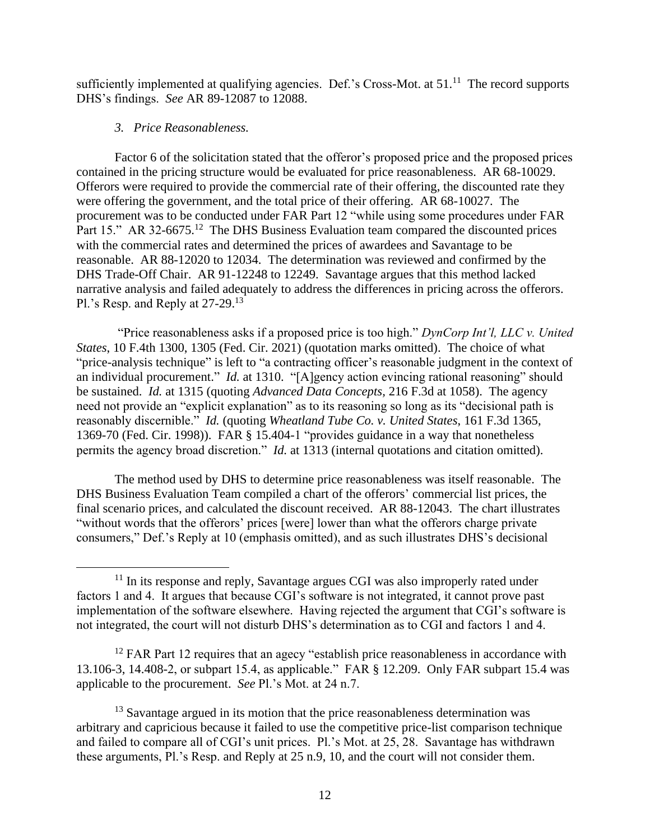sufficiently implemented at qualifying agencies. Def.'s Cross-Mot. at  $51$ .<sup>11</sup> The record supports DHS's findings. *See* AR 89-12087 to 12088.

# *3. Price Reasonableness.*

Factor 6 of the solicitation stated that the offeror's proposed price and the proposed prices contained in the pricing structure would be evaluated for price reasonableness. AR 68-10029. Offerors were required to provide the commercial rate of their offering, the discounted rate they were offering the government, and the total price of their offering. AR 68-10027. The procurement was to be conducted under FAR Part 12 "while using some procedures under FAR Part 15." AR 32-6675.<sup>12</sup> The DHS Business Evaluation team compared the discounted prices with the commercial rates and determined the prices of awardees and Savantage to be reasonable. AR 88-12020 to 12034. The determination was reviewed and confirmed by the DHS Trade-Off Chair. AR 91-12248 to 12249. Savantage argues that this method lacked narrative analysis and failed adequately to address the differences in pricing across the offerors. Pl.'s Resp. and Reply at 27-29.<sup>13</sup>

"Price reasonableness asks if a proposed price is too high." *DynCorp Int'l, LLC v. United States*, 10 F.4th 1300, 1305 (Fed. Cir. 2021) (quotation marks omitted). The choice of what "price-analysis technique" is left to "a contracting officer's reasonable judgment in the context of an individual procurement." *Id.* at 1310. "[A]gency action evincing rational reasoning" should be sustained. *Id.* at 1315 (quoting *Advanced Data Concepts,* 216 F.3d at 1058). The agency need not provide an "explicit explanation" as to its reasoning so long as its "decisional path is reasonably discernible." *Id.* (quoting *Wheatland Tube Co. v. United States*, 161 F.3d 1365, 1369-70 (Fed. Cir. 1998)). FAR § 15.404-1 "provides guidance in a way that nonetheless permits the agency broad discretion." *Id.* at 1313 (internal quotations and citation omitted).

The method used by DHS to determine price reasonableness was itself reasonable. The DHS Business Evaluation Team compiled a chart of the offerors' commercial list prices, the final scenario prices, and calculated the discount received. AR 88-12043. The chart illustrates "without words that the offerors' prices [were] lower than what the offerors charge private consumers," Def.'s Reply at 10 (emphasis omitted), and as such illustrates DHS's decisional

 $12$  FAR Part 12 requires that an agecy "establish price reasonableness in accordance with 13.106-3, 14.408-2, or subpart 15.4, as applicable." FAR § 12.209. Only FAR subpart 15.4 was applicable to the procurement. *See* Pl.'s Mot. at 24 n.7.

 $11$  In its response and reply, Savantage argues CGI was also improperly rated under factors 1 and 4. It argues that because CGI's software is not integrated, it cannot prove past implementation of the software elsewhere. Having rejected the argument that CGI's software is not integrated, the court will not disturb DHS's determination as to CGI and factors 1 and 4.

<sup>&</sup>lt;sup>13</sup> Savantage argued in its motion that the price reasonableness determination was arbitrary and capricious because it failed to use the competitive price-list comparison technique and failed to compare all of CGI's unit prices. Pl.'s Mot. at 25, 28. Savantage has withdrawn these arguments, Pl.'s Resp. and Reply at 25 n.9, 10, and the court will not consider them.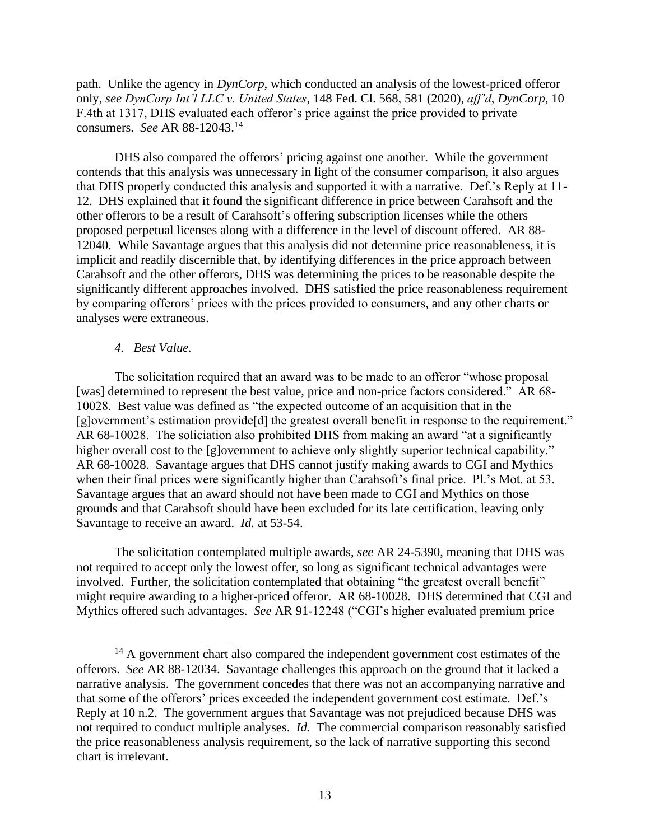path. Unlike the agency in *DynCorp*, which conducted an analysis of the lowest-priced offeror only, *see DynCorp Int'l LLC v. United States*, 148 Fed. Cl. 568, 581 (2020), *aff'd*, *DynCorp*, 10 F.4th at 1317, DHS evaluated each offeror's price against the price provided to private consumers. *See* AR 88-12043.<sup>14</sup>

DHS also compared the offerors' pricing against one another. While the government contends that this analysis was unnecessary in light of the consumer comparison, it also argues that DHS properly conducted this analysis and supported it with a narrative. Def.'s Reply at 11- 12. DHS explained that it found the significant difference in price between Carahsoft and the other offerors to be a result of Carahsoft's offering subscription licenses while the others proposed perpetual licenses along with a difference in the level of discount offered. AR 88- 12040. While Savantage argues that this analysis did not determine price reasonableness, it is implicit and readily discernible that, by identifying differences in the price approach between Carahsoft and the other offerors, DHS was determining the prices to be reasonable despite the significantly different approaches involved. DHS satisfied the price reasonableness requirement by comparing offerors' prices with the prices provided to consumers, and any other charts or analyses were extraneous.

# *4. Best Value.*

The solicitation required that an award was to be made to an offeror "whose proposal [was] determined to represent the best value, price and non-price factors considered." AR 68-10028. Best value was defined as "the expected outcome of an acquisition that in the [g]overnment's estimation provide<sup>[d]</sup> the greatest overall benefit in response to the requirement." AR 68-10028. The soliciation also prohibited DHS from making an award "at a significantly higher overall cost to the [g]overnment to achieve only slightly superior technical capability." AR 68-10028. Savantage argues that DHS cannot justify making awards to CGI and Mythics when their final prices were significantly higher than Carahsoft's final price. Pl.'s Mot. at 53. Savantage argues that an award should not have been made to CGI and Mythics on those grounds and that Carahsoft should have been excluded for its late certification, leaving only Savantage to receive an award. *Id.* at 53-54.

The solicitation contemplated multiple awards, *see* AR 24-5390, meaning that DHS was not required to accept only the lowest offer, so long as significant technical advantages were involved. Further, the solicitation contemplated that obtaining "the greatest overall benefit" might require awarding to a higher-priced offeror. AR 68-10028. DHS determined that CGI and Mythics offered such advantages. *See* AR 91-12248 ("CGI's higher evaluated premium price

 $14$  A government chart also compared the independent government cost estimates of the offerors. *See* AR 88-12034. Savantage challenges this approach on the ground that it lacked a narrative analysis. The government concedes that there was not an accompanying narrative and that some of the offerors' prices exceeded the independent government cost estimate. Def.'s Reply at 10 n.2. The government argues that Savantage was not prejudiced because DHS was not required to conduct multiple analyses. *Id.* The commercial comparison reasonably satisfied the price reasonableness analysis requirement, so the lack of narrative supporting this second chart is irrelevant.